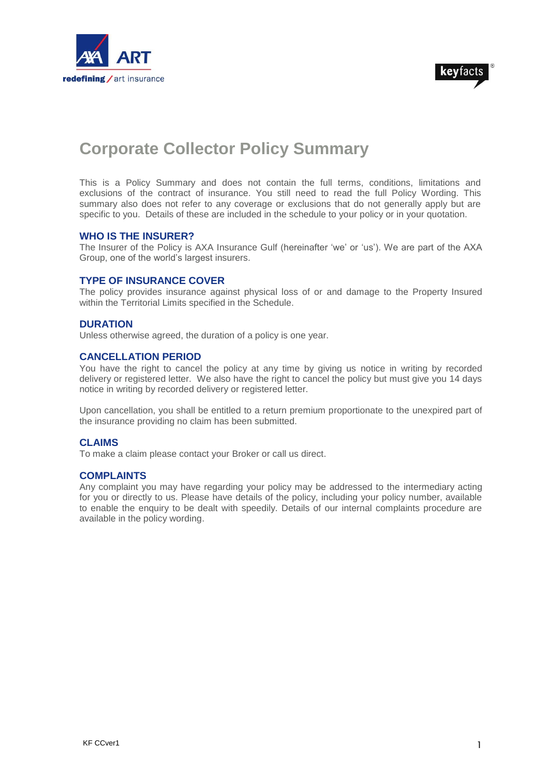



# **Corporate Collector Policy Summary**

This is a Policy Summary and does not contain the full terms, conditions, limitations and exclusions of the contract of insurance. You still need to read the full Policy Wording. This summary also does not refer to any coverage or exclusions that do not generally apply but are specific to you. Details of these are included in the schedule to your policy or in your quotation.

## **WHO IS THE INSURER?**

The Insurer of the Policy is AXA Insurance Gulf (hereinafter 'we' or 'us'). We are part of the AXA Group, one of the world's largest insurers.

## **TYPE OF INSURANCE COVER**

The policy provides insurance against physical loss of or and damage to the Property Insured within the Territorial Limits specified in the Schedule.

## **DURATION**

Unless otherwise agreed, the duration of a policy is one year.

## **CANCELLATION PERIOD**

You have the right to cancel the policy at any time by giving us notice in writing by recorded delivery or registered letter. We also have the right to cancel the policy but must give you 14 days notice in writing by recorded delivery or registered letter.

Upon cancellation, you shall be entitled to a return premium proportionate to the unexpired part of the insurance providing no claim has been submitted.

## **CLAIMS**

To make a claim please contact your Broker or call us direct.

## **COMPLAINTS**

Any complaint you may have regarding your policy may be addressed to the intermediary acting for you or directly to us. Please have details of the policy, including your policy number, available to enable the enquiry to be dealt with speedily. Details of our internal complaints procedure are available in the policy wording.